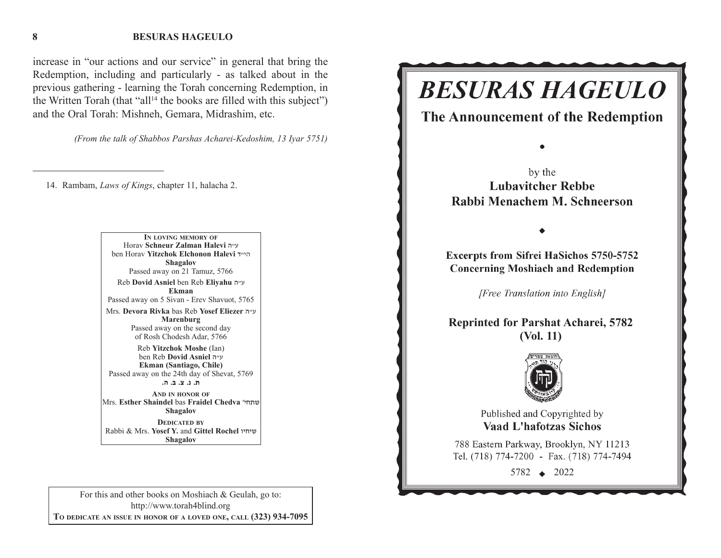#### **BESURAS HAGEULO**

increase in "our actions and our service" in general that bring the Redemption, including and particularly - as talked about in the previous gathering - learning the Torah concerning Redemption, in the Written Torah (that "all<sup>14</sup> the books are filled with this subject") and the Oral Torah: Mishneh, Gemara, Midrashim, etc.

*(From the talk of Shabbos Parshas Acharei-Kedoshim, 13 Iyar 5751)*

14. Rambam, *Laws of Kings*, chapter 11, halacha 2.

**IN LOVING MEMORY OF**Horav **Schneur Zalman Halevi** v"g ben Horav **Yitzchok Elchonon Halevi** s"hv**Shagalov** Passed away on 21 Tamuz, 5766 Reb **Dovid Asniel** ben Reb **Eliyahu** <sup>v</sup>"g **Ekman**Passed away on 5 Sivan - Erev Shavuot, 5765 Mrs. **Devora Rivka** bas Reb **Yosef Eliezer** v"g **Marenburg** Passed away on the second day of Rosh Chodesh Adar, 5766 Reb **Yitzchok Moshe** (Ian) ben Reb **Dovid Asniel** v"g **Ekman (Santiago, Chile)** Passed away on the 24th day of Shevat, 5769 **/v /c /m /b /,AND IN HONOR OF**Mrs. **Esther Shaindel** bas **Fraidel Chedva** whj,a**Shagalov DEDICATED BY** Rabbi & Mrs. **Yosef Y.** and **Gittel Rochel** uhjha**Shagalov**

For this and other books on Moshiach & Geulah, go to: http://www.torah4blind.org **TO DEDICATE AN ISSUE IN HONOR OF <sup>A</sup> LOVED ONE, CALL (323) 934-7095**

# **BESURAS HAGEULO**

The Announcement of the Redemption

by the **Lubavitcher Rebbe** Rabbi Menachem M. Schneerson

**Excerpts from Sifrei HaSichos 5750-5752 Concerning Moshiach and Redemption** 

[Free Translation into English]

**Reprinted for Parshat Acharei, 5782 (Vol. 11)**



Published and Copyrighted by **Vaad L'hafotzas Sichos** 

788 Eastern Parkway, Brooklyn, NY 11213 Tel. (718) 774-7200 - Fax. (718) 774-7494

5782 2022

**8**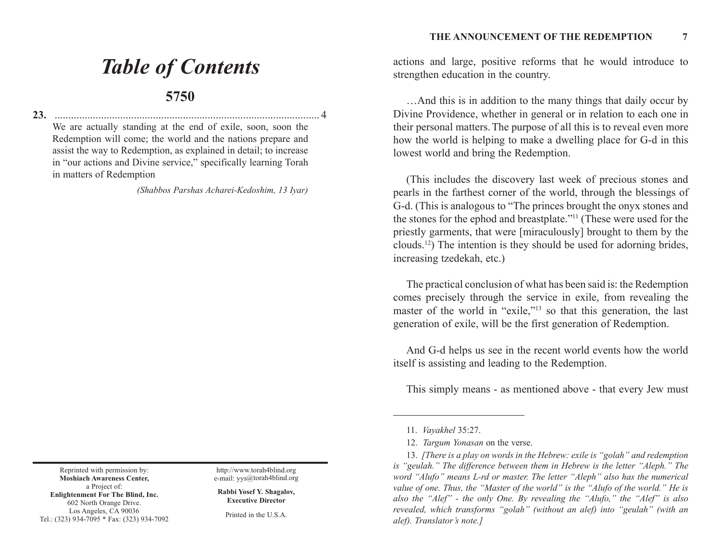# *Table of Contents*

### **5750**

**23.** ................................................................................................. 4

We are actually standing at the end of exile, soon, soon the Redemption will come; the world and the nations prepare and assist the way to Redemption, as explained in detail; to increase in "our actions and Divine service," specifically learning Torah in matters of Redemption

*(Shabbos Parshas Acharei-Kedoshim, 13 Iyar)*

Reprinted with permission by: **Moshiach Awareness Center,** a Project of: **Enlightenment For The Blind, Inc.** 602 North Orange Drive. Los Angeles, CA 90036 Tel.: (323) 934-7095 \* Fax: (323) 934-7092

http://www.torah4blind.org e-mail: yys@torah4blind.org

**Rabbi Yosef Y. Shagalov, Executive Director**

Printed in the U.S.A.

actions and large, positive reforms that he would introduce to strengthen education in the country.

…And this is in addition to the many things that daily occur by Divine Providence, whether in general or in relation to each one in their personal matters. The purpose of all this is to reveal even more how the world is helping to make a dwelling place for G-d in this lowest world and bring the Redemption.

(This includes the discovery last week of precious stones and pearls in the farthest corner of the world, through the blessings of G-d. (This is analogous to "The princes brought the onyx stones and the stones for the ephod and breastplate."11 (These were used for the priestly garments, that were [miraculously] brought to them by the clouds.12) The intention is they should be used for adorning brides, increasing tzedekah, etc.)

The practical conclusion of what has been said is: the Redemption comes precisely through the service in exile, from revealing the master of the world in "exile,"<sup>13</sup> so that this generation, the last generation of exile, will be the first generation of Redemption.

And G-d helps us see in the recent world events how the world itself is assisting and leading to the Redemption.

This simply means - as mentioned above - that every Jew must

<sup>11.</sup> *Vayakhel* 35:27.

<sup>12.</sup> *Targum Yonasan* on the verse.

<sup>13.</sup> *[There is a play on words in the Hebrew: exile is "golah" and redemption is "geulah." The difference between them in Hebrew is the letter "Aleph." The word "Alufo" means L-rd or master. The letter "Aleph" also has the numerical value of one. Thus, the "Master of the world" is the "Alufo of the world." He is also the "Alef" - the only One. By revealing the "Alufo," the "Alef" is also revealed, which transforms "golah" (without an alef) into "geulah" (with an alef). Translator's note.]*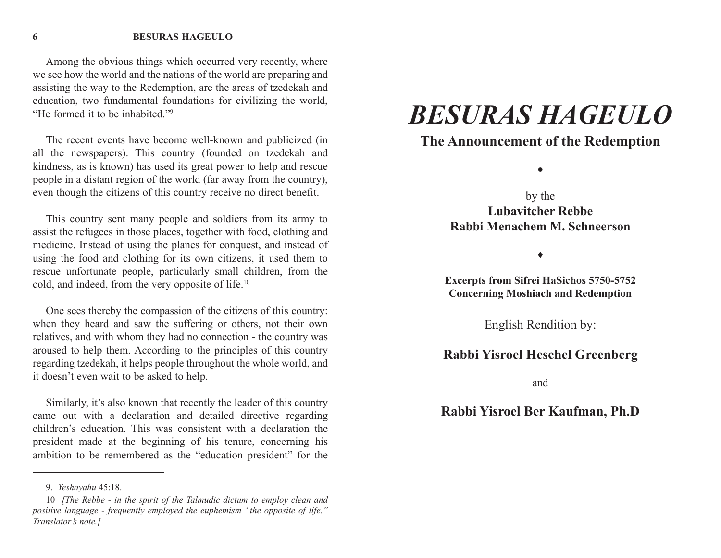Among the obvious things which occurred very recently, where we see how the world and the nations of the world are preparing and assisting the way to the Redemption, are the areas of tzedekah and education, two fundamental foundations for civilizing the world, "He formed it to be inhabited."9

The recent events have become well-known and publicized (in all the newspapers). This country (founded on tzedekah and kindness, as is known) has used its great power to help and rescue people in a distant region of the world (far away from the country), even though the citizens of this country receive no direct benefit.

This country sent many people and soldiers from its army to assist the refugees in those places, together with food, clothing and medicine. Instead of using the planes for conquest, and instead of using the food and clothing for its own citizens, it used them to rescue unfortunate people, particularly small children, from the cold, and indeed, from the very opposite of life.10

One sees thereby the compassion of the citizens of this country: when they heard and saw the suffering or others, not their own relatives, and with whom they had no connection - the country was aroused to help them. According to the principles of this country regarding tzedekah, it helps people throughout the whole world, and it doesn't even wait to be asked to help.

Similarly, it's also known that recently the leader of this country came out with a declaration and detailed directive regarding children's education. This was consistent with a declaration the president made at the beginning of his tenure, concerning his ambition to be remembered as the "education president" for the

## *BESURAS HAGEULO*

## **The Announcement of the Redemption**

z

by the **Lubavitcher RebbeRabbi Menachem M. Schneerson** 

 $\bullet$ 

**Excerpts from Sifrei HaSichos 5750-5752 Concerning Moshiach and Redemption** 

English Rendition by:

## **Rabbi Yisroel Heschel Greenberg**

and

## **Rabbi Yisroel Ber Kaufman, Ph.D**

<sup>9.</sup> *Yeshayahu* 45:18.

<sup>10</sup> *[The Rebbe - in the spirit of the Talmudic dictum to employ clean and positive language - frequently employed the euphemism "the opposite of life." Translator's note.]*